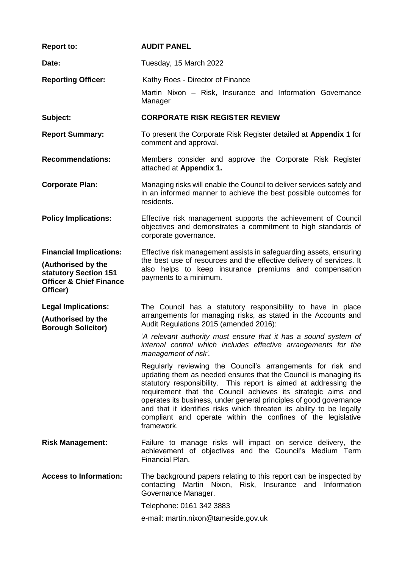| <b>Report to:</b>                                                                                                               | <b>AUDIT PANEL</b>                                                                                                                                                                                                                                                                                                                                                                                                                                                                               |  |  |  |  |
|---------------------------------------------------------------------------------------------------------------------------------|--------------------------------------------------------------------------------------------------------------------------------------------------------------------------------------------------------------------------------------------------------------------------------------------------------------------------------------------------------------------------------------------------------------------------------------------------------------------------------------------------|--|--|--|--|
| Date:                                                                                                                           | Tuesday, 15 March 2022                                                                                                                                                                                                                                                                                                                                                                                                                                                                           |  |  |  |  |
| <b>Reporting Officer:</b>                                                                                                       | Kathy Roes - Director of Finance<br>Martin Nixon - Risk, Insurance and Information Governance<br>Manager                                                                                                                                                                                                                                                                                                                                                                                         |  |  |  |  |
| Subject:                                                                                                                        | <b>CORPORATE RISK REGISTER REVIEW</b>                                                                                                                                                                                                                                                                                                                                                                                                                                                            |  |  |  |  |
| <b>Report Summary:</b>                                                                                                          | To present the Corporate Risk Register detailed at Appendix 1 for<br>comment and approval.                                                                                                                                                                                                                                                                                                                                                                                                       |  |  |  |  |
| <b>Recommendations:</b>                                                                                                         | Members consider and approve the Corporate Risk Register<br>attached at Appendix 1.                                                                                                                                                                                                                                                                                                                                                                                                              |  |  |  |  |
| <b>Corporate Plan:</b>                                                                                                          | Managing risks will enable the Council to deliver services safely and<br>in an informed manner to achieve the best possible outcomes for<br>residents.                                                                                                                                                                                                                                                                                                                                           |  |  |  |  |
| <b>Policy Implications:</b>                                                                                                     | Effective risk management supports the achievement of Council<br>objectives and demonstrates a commitment to high standards of<br>corporate governance.                                                                                                                                                                                                                                                                                                                                          |  |  |  |  |
| <b>Financial Implications:</b><br>(Authorised by the<br>statutory Section 151<br><b>Officer &amp; Chief Finance</b><br>Officer) | Effective risk management assists in safeguarding assets, ensuring<br>the best use of resources and the effective delivery of services. It<br>also helps to keep insurance premiums and compensation<br>payments to a minimum.                                                                                                                                                                                                                                                                   |  |  |  |  |
| <b>Legal Implications:</b><br>(Authorised by the<br><b>Borough Solicitor)</b>                                                   | The Council has a statutory responsibility to have in place<br>arrangements for managing risks, as stated in the Accounts and<br>Audit Regulations 2015 (amended 2016):                                                                                                                                                                                                                                                                                                                          |  |  |  |  |
|                                                                                                                                 | 'A relevant authority must ensure that it has a sound system of<br>internal control which includes effective arrangements for the<br>management of risk'.                                                                                                                                                                                                                                                                                                                                        |  |  |  |  |
|                                                                                                                                 | Regularly reviewing the Council's arrangements for risk and<br>updating them as needed ensures that the Council is managing its<br>statutory responsibility. This report is aimed at addressing the<br>requirement that the Council achieves its strategic aims and<br>operates its business, under general principles of good governance<br>and that it identifies risks which threaten its ability to be legally<br>compliant and operate within the confines of the legislative<br>framework. |  |  |  |  |
| <b>Risk Management:</b>                                                                                                         | Failure to manage risks will impact on service delivery, the<br>achievement of objectives and the Council's Medium Term<br>Financial Plan.                                                                                                                                                                                                                                                                                                                                                       |  |  |  |  |
| <b>Access to Information:</b>                                                                                                   | The background papers relating to this report can be inspected by<br>contacting Martin Nixon, Risk, Insurance and Information<br>Governance Manager.                                                                                                                                                                                                                                                                                                                                             |  |  |  |  |
|                                                                                                                                 | Telephone: 0161 342 3883                                                                                                                                                                                                                                                                                                                                                                                                                                                                         |  |  |  |  |
|                                                                                                                                 | e-mail: martin.nixon@tameside.gov.uk                                                                                                                                                                                                                                                                                                                                                                                                                                                             |  |  |  |  |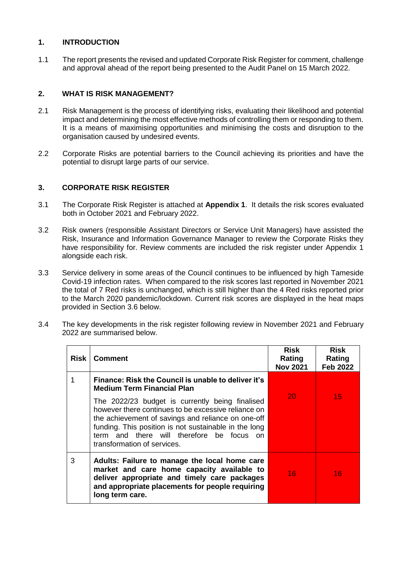### **1. INTRODUCTION**

1.1 The report presents the revised and updated Corporate Risk Register for comment, challenge and approval ahead of the report being presented to the Audit Panel on 15 March 2022.

### **2. WHAT IS RISK MANAGEMENT?**

- 2.1 Risk Management is the process of identifying risks, evaluating their likelihood and potential impact and determining the most effective methods of controlling them or responding to them. It is a means of maximising opportunities and minimising the costs and disruption to the organisation caused by undesired events.
- 2.2 Corporate Risks are potential barriers to the Council achieving its priorities and have the potential to disrupt large parts of our service.

### **3. CORPORATE RISK REGISTER**

- 3.1 The Corporate Risk Register is attached at **Appendix 1**. It details the risk scores evaluated both in October 2021 and February 2022.
- 3.2 Risk owners (responsible Assistant Directors or Service Unit Managers) have assisted the Risk, Insurance and Information Governance Manager to review the Corporate Risks they have responsibility for. Review comments are included the risk register under Appendix 1 alongside each risk.
- 3.3 Service delivery in some areas of the Council continues to be influenced by high Tameside Covid-19 infection rates. When compared to the risk scores last reported in November 2021 the total of 7 Red risks is unchanged, which is still higher than the 4 Red risks reported prior to the March 2020 pandemic/lockdown. Current risk scores are displayed in the heat maps provided in Section 3.6 below.
- 3.4 The key developments in the risk register following review in November 2021 and February 2022 are summarised below.

| Risk I | <b>Comment</b>                                                                                                                                                                                                                                                                                    | Risk<br>Rating<br><b>Nov 2021</b> | <b>Risk</b><br>Rating<br><b>Feb 2022</b> |
|--------|---------------------------------------------------------------------------------------------------------------------------------------------------------------------------------------------------------------------------------------------------------------------------------------------------|-----------------------------------|------------------------------------------|
|        | Finance: Risk the Council is unable to deliver it's<br><b>Medium Term Financial Plan</b>                                                                                                                                                                                                          |                                   |                                          |
|        | The 2022/23 budget is currently being finalised<br>however there continues to be excessive reliance on<br>the achievement of savings and reliance on one-off<br>funding. This position is not sustainable in the long<br>term and there will therefore be focus on<br>transformation of services. | -20                               | 457                                      |
| 3      | Adults: Failure to manage the local home care<br>market and care home capacity available to<br>deliver appropriate and timely care packages<br>and appropriate placements for people requiring<br>long term care.                                                                                 | 16                                | 16                                       |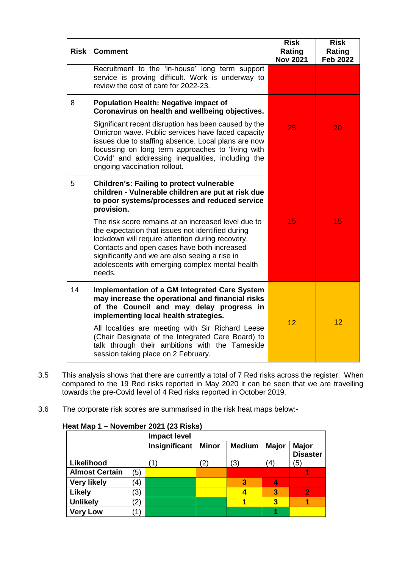| <b>Risk</b> | <b>Comment</b>                                                                                                                                                                                                                                                                                                             | <b>Risk</b><br>Rating<br><b>Nov 2021</b> | <b>Risk</b><br>Rating<br><b>Feb 2022</b> |
|-------------|----------------------------------------------------------------------------------------------------------------------------------------------------------------------------------------------------------------------------------------------------------------------------------------------------------------------------|------------------------------------------|------------------------------------------|
|             | Recruitment to the 'in-house' long term support<br>service is proving difficult. Work is underway to<br>review the cost of care for 2022-23.                                                                                                                                                                               |                                          |                                          |
| 8           | <b>Population Health: Negative impact of</b><br>Coronavirus on health and wellbeing objectives.                                                                                                                                                                                                                            |                                          |                                          |
|             | Significant recent disruption has been caused by the<br>Omicron wave. Public services have faced capacity<br>issues due to staffing absence. Local plans are now<br>focussing on long term approaches to 'living with<br>Covid' and addressing inequalities, including the<br>ongoing vaccination rollout.                 | 25                                       | 20                                       |
| 5           | <b>Children's: Failing to protect vulnerable</b><br>children - Vulnerable children are put at risk due<br>to poor systems/processes and reduced service<br>provision.                                                                                                                                                      |                                          |                                          |
|             | The risk score remains at an increased level due to<br>the expectation that issues not identified during<br>lockdown will require attention during recovery.<br>Contacts and open cases have both increased<br>significantly and we are also seeing a rise in<br>adolescents with emerging complex mental health<br>needs. | 15                                       | 15                                       |
| 14          | <b>Implementation of a GM Integrated Care System</b><br>may increase the operational and financial risks<br>of the Council and may delay progress in<br>implementing local health strategies.                                                                                                                              | 12                                       | 12                                       |
|             | All localities are meeting with Sir Richard Leese<br>(Chair Designate of the Integrated Care Board) to<br>talk through their ambitions with the Tameside<br>session taking place on 2 February.                                                                                                                            |                                          |                                          |

- 3.5 This analysis shows that there are currently a total of 7 Red risks across the register. When compared to the 19 Red risks reported in May 2020 it can be seen that we are travelling towards the pre-Covid level of 4 Red risks reported in October 2019.
- 3.6 The corporate risk scores are summarised in the risk heat maps below:-

| $\epsilon$ at map t $\epsilon$ November 2021 (25 Nisks) |                   |                     |              |               |                         |                                 |
|---------------------------------------------------------|-------------------|---------------------|--------------|---------------|-------------------------|---------------------------------|
|                                                         |                   | <b>Impact level</b> |              |               |                         |                                 |
|                                                         |                   | Insignificant       | <b>Minor</b> | <b>Medium</b> | <b>Major</b>            | <b>Major</b><br><b>Disaster</b> |
| Likelihood                                              |                   | 11                  | 2)           | (3)           | 4)                      | (5)                             |
| <b>Almost Certain</b>                                   | (5)               |                     |              |               |                         |                                 |
| <b>Very likely</b>                                      | $\left( 4\right)$ |                     |              | 3             | 4                       |                                 |
| <b>Likely</b>                                           | $\left(3\right)$  |                     |              |               | $\overline{\mathbf{3}}$ | $\overline{2}$                  |
| <b>Unlikely</b>                                         | $\left( 2\right)$ |                     |              |               | 3                       |                                 |
| <b>Very Low</b>                                         | $\left( 1\right)$ |                     |              |               |                         |                                 |

# **Heat Map 1 – November 2021 (23 Risks)**